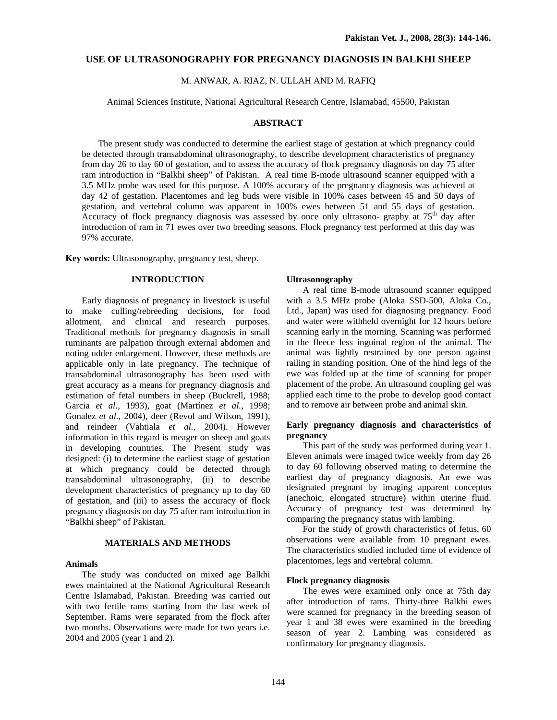# **USE OF ULTRASONOGRAPHY FOR PREGNANCY DIAGNOSIS IN BALKHI SHEEP**

M. ANWAR, A. RIAZ, N. ULLAH AND M. RAFIQ

Animal Sciences Institute, National Agricultural Research Centre, Islamabad, 45500, Pakistan

### **ABSTRACT**

 The present study was conducted to determine the earliest stage of gestation at which pregnancy could be detected through transabdominal ultrasonography, to describe development characteristics of pregnancy from day 26 to day 60 of gestation, and to assess the accuracy of flock pregnancy diagnosis on day 75 after ram introduction in "Balkhi sheep" of Pakistan. A real time B-mode ultrasound scanner equipped with a 3.5 MHz probe was used for this purpose. A 100% accuracy of the pregnancy diagnosis was achieved at day 42 of gestation. Placentomes and leg buds were visible in 100% cases between 45 and 50 days of gestation, and vertebral column was apparent in 100% ewes between 51 and 55 days of gestation. Accuracy of flock pregnancy diagnosis was assessed by once only ultrasono- graphy at  $75<sup>th</sup>$  day after introduction of ram in 71 ewes over two breeding seasons. Flock pregnancy test performed at this day was 97% accurate.

**Key words:** Ultrasonography, pregnancy test, sheep.

# **INTRODUCTION**

 Early diagnosis of pregnancy in livestock is useful to make culling/rebreeding decisions, for food allotment, and clinical and research purposes. Traditional methods for pregnancy diagnosis in small ruminants are palpation through external abdomen and noting udder enlargement. However, these methods are applicable only in late pregnancy. The technique of transabdominal ultrasonography has been used with great accuracy as a means for pregnancy diagnosis and estimation of fetal numbers in sheep (Buckrell, 1988; Garcia *et al.,* 1993), goat (Martínez *et al.,* 1998; Gonalez *et al.,* 2004), deer (Revol and Wilson, 1991), and reindeer (Vahtiala *et al.,* 2004). However information in this regard is meager on sheep and goats in developing countries. The Present study was designed: (i) to determine the earliest stage of gestation at which pregnancy could be detected through transabdominal ultrasonography, (ii) to describe development characteristics of pregnancy up to day 60 of gestation, and (iii) to assess the accuracy of flock pregnancy diagnosis on day 75 after ram introduction in "Balkhi sheep" of Pakistan.

# **MATERIALS AND METHODS**

### **Animals**

The study was conducted on mixed age Balkhi ewes maintained at the National Agricultural Research Centre Islamabad, Pakistan. Breeding was carried out with two fertile rams starting from the last week of September. Rams were separated from the flock after two months. Observations were made for two years i.e. 2004 and 2005 (year 1 and 2).

# **Ultrasonography**

A real time B-mode ultrasound scanner equipped with a 3.5 MHz probe (Aloka SSD-500, Aloka Co., Ltd., Japan) was used for diagnosing pregnancy. Food and water were withheld overnight for 12 hours before scanning early in the morning. Scanning was performed in the fleece–less inguinal region of the animal. The animal was lightly restrained by one person against railing in standing position. One of the hind legs of the ewe was folded up at the time of scanning for proper placement of the probe. An ultrasound coupling gel was applied each time to the probe to develop good contact and to remove air between probe and animal skin.

# **Early pregnancy diagnosis and characteristics of pregnancy**

This part of the study was performed during year 1. Eleven animals were imaged twice weekly from day 26 to day 60 following observed mating to determine the earliest day of pregnancy diagnosis. An ewe was designated pregnant by imaging apparent conceptus (anechoic, elongated structure) within uterine fluid. Accuracy of pregnancy test was determined by comparing the pregnancy status with lambing.

For the study of growth characteristics of fetus, 60 observations were available from 10 pregnant ewes. The characteristics studied included time of evidence of placentomes, legs and vertebral column.

# **Flock pregnancy diagnosis**

The ewes were examined only once at 75th day after introduction of rams. Thirty-three Balkhi ewes were scanned for pregnancy in the breeding season of year 1 and 38 ewes were examined in the breeding season of year 2. Lambing was considered as confirmatory for pregnancy diagnosis.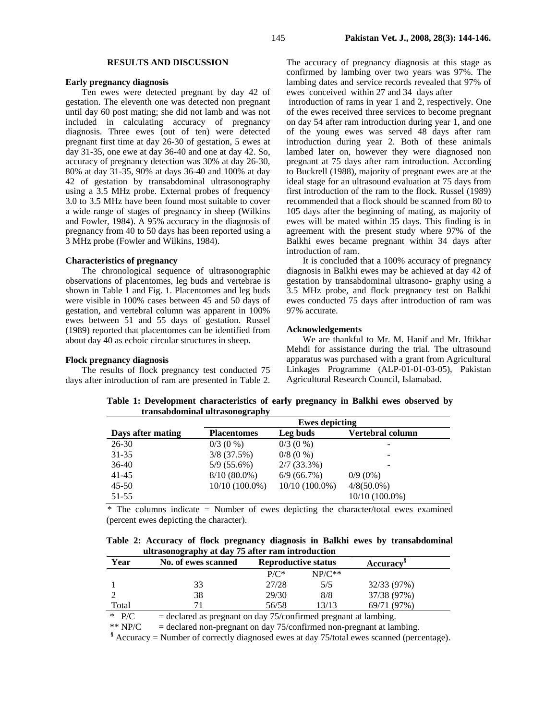#### **RESULTS AND DISCUSSION**

#### **Early pregnancy diagnosis**

 Ten ewes were detected pregnant by day 42 of gestation. The eleventh one was detected non pregnant until day 60 post mating; she did not lamb and was not included in calculating accuracy of pregnancy diagnosis. Three ewes (out of ten) were detected pregnant first time at day 26-30 of gestation, 5 ewes at day 31-35, one ewe at day 36-40 and one at day 42. So, accuracy of pregnancy detection was 30% at day 26-30, 80% at day 31-35, 90% at days 36-40 and 100% at day 42 of gestation by transabdominal ultrasonography using a 3.5 MHz probe. External probes of frequency 3.0 to 3.5 MHz have been found most suitable to cover a wide range of stages of pregnancy in sheep (Wilkins and Fowler, 1984). A 95% accuracy in the diagnosis of pregnancy from 40 to 50 days has been reported using a 3 MHz probe (Fowler and Wilkins, 1984).

#### **Characteristics of pregnancy**

The chronological sequence of ultrasonographic observations of placentomes, leg buds and vertebrae is shown in Table 1 and Fig. 1. Placentomes and leg buds were visible in 100% cases between 45 and 50 days of gestation, and vertebral column was apparent in 100% ewes between 51 and 55 days of gestation. Russel (1989) reported that placentomes can be identified from about day 40 as echoic circular structures in sheep.

### **Flock pregnancy diagnosis**

 The results of flock pregnancy test conducted 75 days after introduction of ram are presented in Table 2.

The accuracy of pregnancy diagnosis at this stage as confirmed by lambing over two years was 97%. The lambing dates and service records revealed that 97% of ewes conceived within 27 and 34 days after

 introduction of rams in year 1 and 2, respectively. One of the ewes received three services to become pregnant on day 54 after ram introduction during year 1, and one of the young ewes was served 48 days after ram introduction during year 2. Both of these animals lambed later on, however they were diagnosed non pregnant at 75 days after ram introduction. According to Buckrell (1988), majority of pregnant ewes are at the ideal stage for an ultrasound evaluation at 75 days from first introduction of the ram to the flock. Russel (1989) recommended that a flock should be scanned from 80 to 105 days after the beginning of mating, as majority of ewes will be mated within 35 days. This finding is in agreement with the present study where 97% of the Balkhi ewes became pregnant within 34 days after introduction of ram.

 It is concluded that a 100% accuracy of pregnancy diagnosis in Balkhi ewes may be achieved at day 42 of gestation by transabdominal ultrasono- graphy using a 3.5 MHz probe, and flock pregnancy test on Balkhi ewes conducted 75 days after introduction of ram was 97% accurate.

# **Acknowledgements**

 We are thankful to Mr. M. Hanif and Mr. Iftikhar Mehdi for assistance during the trial. The ultrasound apparatus was purchased with a grant from Agricultural Linkages Programme (ALP-01-01-03-05), Pakistan Agricultural Research Council, Islamabad.

**Table 1: Development characteristics of early pregnancy in Balkhi ewes observed by transabdominal ultrasonography** 

|                   | <b>Ewes depicting</b> |                  |                  |  |  |
|-------------------|-----------------------|------------------|------------------|--|--|
| Days after mating | <b>Placentomes</b>    | Leg buds         | Vertebral column |  |  |
| $26 - 30$         | $0/3$ (0 %)           | $0/3$ (0 %)      |                  |  |  |
| $31 - 35$         | $3/8$ (37.5%)         | $0/8$ (0 %)      | -                |  |  |
| $36-40$           | $5/9(55.6\%)$         | $2/7(33.3\%)$    |                  |  |  |
| $41 - 45$         | $8/10(80.0\%)$        | 6/9(66.7%)       | $0/9(0\%)$       |  |  |
| $45 - 50$         | $10/10(100.0\%)$      | $10/10(100.0\%)$ | $4/8(50.0\%)$    |  |  |
| $51 - 55$         |                       |                  | $10/10(100.0\%)$ |  |  |

 \* The columns indicate = Number of ewes depicting the character/total ewes examined (percent ewes depicting the character).

**Table 2: Accuracy of flock pregnancy diagnosis in Balkhi ewes by transabdominal ultrasonography at day 75 after ram introduction**

| $\frac{1}{2}$ |                     |                            |          |                              |  |  |
|---------------|---------------------|----------------------------|----------|------------------------------|--|--|
| Year          | No. of ewes scanned | <b>Reproductive status</b> |          | <b>Accuracy</b> <sup>8</sup> |  |  |
|               |                     | $P/C^*$                    | $NP/C**$ |                              |  |  |
|               | 33                  | 27/28                      | 5/5      | 32/33 (97%)                  |  |  |
|               | 38                  | 29/30                      | 8/8      | 37/38 (97%)                  |  |  |
| Total         |                     | 56/58                      | 13/13    | 69/71(97%)                   |  |  |
|               |                     |                            |          |                              |  |  |

 $*$  P/C = declared as pregnant on day 75/confirmed pregnant at lambing.

\*\*  $NP/C$  = declared non-pregnant on day 75/confirmed non-pregnant at lambing.

**§** Accuracy = Number of correctly diagnosed ewes at day 75/total ewes scanned (percentage).